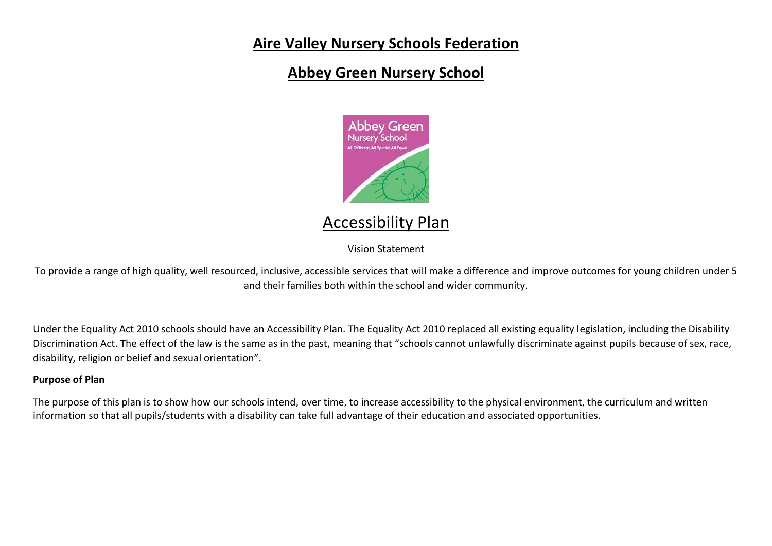## **Aire Valley Nursery Schools Federation**

## **Abbey Green Nursery School**



# Accessibility Plan

Vision Statement

To provide a range of high quality, well resourced, inclusive, accessible services that will make a difference and improve outcomes for young children under 5 and their families both within the school and wider community.

Under the Equality Act 2010 schools should have an Accessibility Plan. The Equality Act 2010 replaced all existing equality legislation, including the Disability Discrimination Act. The effect of the law is the same as in the past, meaning that "schools cannot unlawfully discriminate against pupils because of sex, race, disability, religion or belief and sexual orientation".

### **Purpose of Plan**

The purpose of this plan is to show how our schools intend, over time, to increase accessibility to the physical environment, the curriculum and written information so that all pupils/students with a disability can take full advantage of their education and associated opportunities.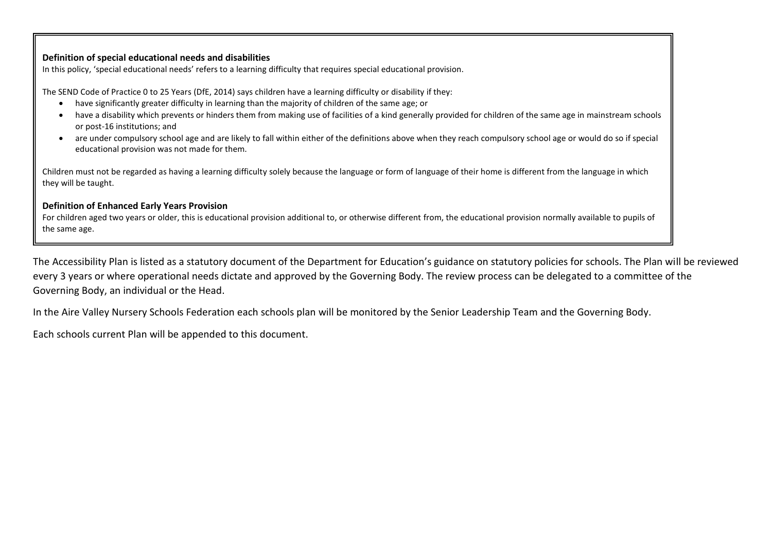#### **Definition of special educational needs and disabilities**

In this policy, 'special educational needs' refers to a learning difficulty that requires special educational provision.

The SEND Code of Practice 0 to 25 Years (DfE, 2014) says children have a learning difficulty or disability if they:

- have significantly greater difficulty in learning than the majority of children of the same age; or
- have a disability which prevents or hinders them from making use of facilities of a kind generally provided for children of the same age in mainstream schools or post-16 institutions; and
- are under compulsory school age and are likely to fall within either of the definitions above when they reach compulsory school age or would do so if special educational provision was not made for them.

Children must not be regarded as having a learning difficulty solely because the language or form of language of their home is different from the language in which they will be taught.

#### **Definition of Enhanced Early Years Provision**

For children aged two years or older, this is educational provision additional to, or otherwise different from, the educational provision normally available to pupils of the same age.

The Accessibility Plan is listed as a statutory document of the Department for Education's guidance on statutory policies for schools. The Plan will be reviewed every 3 years or where operational needs dictate and approved by the Governing Body. The review process can be delegated to a committee of the Governing Body, an individual or the Head.

In the Aire Valley Nursery Schools Federation each schools plan will be monitored by the Senior Leadership Team and the Governing Body.

Each schools current Plan will be appended to this document.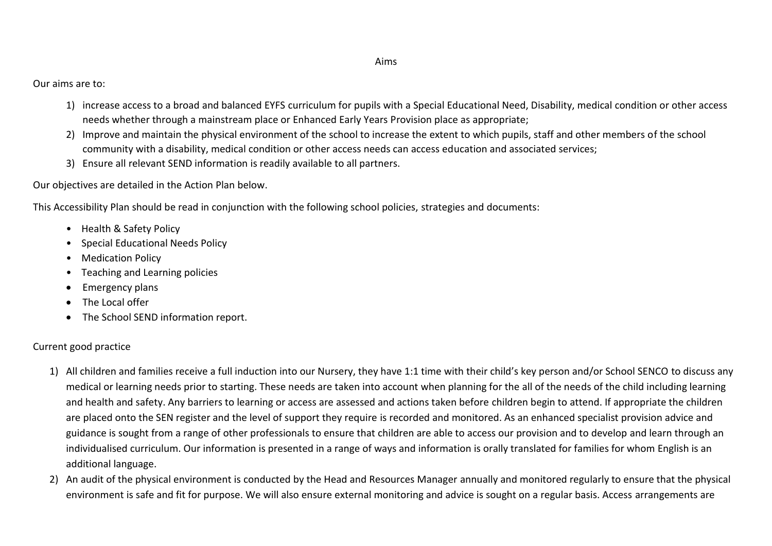#### Aims

Our aims are to:

- 1) increase access to a broad and balanced EYFS curriculum for pupils with a Special Educational Need, Disability, medical condition or other access needs whether through a mainstream place or Enhanced Early Years Provision place as appropriate;
- 2) Improve and maintain the physical environment of the school to increase the extent to which pupils, staff and other members of the school community with a disability, medical condition or other access needs can access education and associated services;
- 3) Ensure all relevant SEND information is readily available to all partners.

Our objectives are detailed in the Action Plan below.

This Accessibility Plan should be read in conjunction with the following school policies, strategies and documents:

- Health & Safety Policy
- Special Educational Needs Policy
- Medication Policy
- Teaching and Learning policies
- Emergency plans
- The Local offer
- The School SEND information report.

### Current good practice

- 1) All children and families receive a full induction into our Nursery, they have 1:1 time with their child's key person and/or School SENCO to discuss any medical or learning needs prior to starting. These needs are taken into account when planning for the all of the needs of the child including learning and health and safety. Any barriers to learning or access are assessed and actions taken before children begin to attend. If appropriate the children are placed onto the SEN register and the level of support they require is recorded and monitored. As an enhanced specialist provision advice and guidance is sought from a range of other professionals to ensure that children are able to access our provision and to develop and learn through an individualised curriculum. Our information is presented in a range of ways and information is orally translated for families for whom English is an additional language.
- 2) An audit of the physical environment is conducted by the Head and Resources Manager annually and monitored regularly to ensure that the physical environment is safe and fit for purpose. We will also ensure external monitoring and advice is sought on a regular basis. Access arrangements are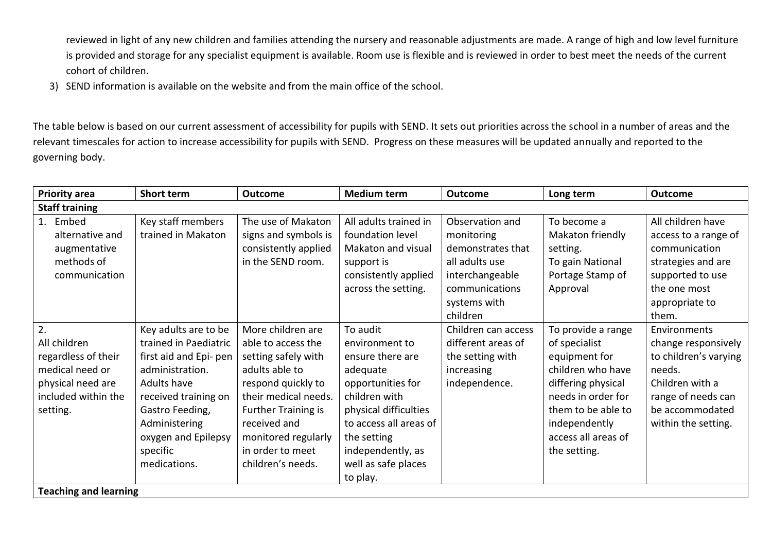reviewed in light of any new children and families attending the nursery and reasonable adjustments are made. A range of high and low level furniture is provided and storage for any specialist equipment is available. Room use is flexible and is reviewed in order to best meet the needs of the current cohort of children.

3) SEND information is available on the website and from the main office of the school.

The table below is based on our current assessment of accessibility for pupils with SEND. It sets out priorities across the school in a number of areas and the relevant timescales for action to increase accessibility for pupils with SEND. Progress on these measures will be updated annually and reported to the governing body.

| <b>Priority area</b>                                                                                                 | Short term                                                                                                                                                                                                                      | <b>Outcome</b>                                                                                                                                                                                                                               | <b>Medium term</b>                                                                                                                                                                                                         | <b>Outcome</b>                                                                                                                        | Long term                                                                                                                                                                                           | <b>Outcome</b>                                                                                                                                            |
|----------------------------------------------------------------------------------------------------------------------|---------------------------------------------------------------------------------------------------------------------------------------------------------------------------------------------------------------------------------|----------------------------------------------------------------------------------------------------------------------------------------------------------------------------------------------------------------------------------------------|----------------------------------------------------------------------------------------------------------------------------------------------------------------------------------------------------------------------------|---------------------------------------------------------------------------------------------------------------------------------------|-----------------------------------------------------------------------------------------------------------------------------------------------------------------------------------------------------|-----------------------------------------------------------------------------------------------------------------------------------------------------------|
| <b>Staff training</b>                                                                                                |                                                                                                                                                                                                                                 |                                                                                                                                                                                                                                              |                                                                                                                                                                                                                            |                                                                                                                                       |                                                                                                                                                                                                     |                                                                                                                                                           |
| 1. Embed<br>alternative and<br>augmentative<br>methods of<br>communication                                           | Key staff members<br>trained in Makaton                                                                                                                                                                                         | The use of Makaton<br>signs and symbols is<br>consistently applied<br>in the SEND room.                                                                                                                                                      | All adults trained in<br>foundation level<br>Makaton and visual<br>support is<br>consistently applied<br>across the setting.                                                                                               | Observation and<br>monitoring<br>demonstrates that<br>all adults use<br>interchangeable<br>communications<br>systems with<br>children | To become a<br>Makaton friendly<br>setting.<br>To gain National<br>Portage Stamp of<br>Approval                                                                                                     | All children have<br>access to a range of<br>communication<br>strategies and are<br>supported to use<br>the one most<br>appropriate to<br>them.           |
| 2.<br>All children<br>regardless of their<br>medical need or<br>physical need are<br>included within the<br>setting. | Key adults are to be<br>trained in Paediatric<br>first aid and Epi- pen<br>administration.<br><b>Adults have</b><br>received training on<br>Gastro Feeding,<br>Administering<br>oxygen and Epilepsy<br>specific<br>medications. | More children are<br>able to access the<br>setting safely with<br>adults able to<br>respond quickly to<br>their medical needs.<br><b>Further Training is</b><br>received and<br>monitored regularly<br>in order to meet<br>children's needs. | To audit<br>environment to<br>ensure there are<br>adequate<br>opportunities for<br>children with<br>physical difficulties<br>to access all areas of<br>the setting<br>independently, as<br>well as safe places<br>to play. | Children can access<br>different areas of<br>the setting with<br>increasing<br>independence.                                          | To provide a range<br>of specialist<br>equipment for<br>children who have<br>differing physical<br>needs in order for<br>them to be able to<br>independently<br>access all areas of<br>the setting. | Environments<br>change responsively<br>to children's varying<br>needs.<br>Children with a<br>range of needs can<br>be accommodated<br>within the setting. |
| <b>Teaching and learning</b>                                                                                         |                                                                                                                                                                                                                                 |                                                                                                                                                                                                                                              |                                                                                                                                                                                                                            |                                                                                                                                       |                                                                                                                                                                                                     |                                                                                                                                                           |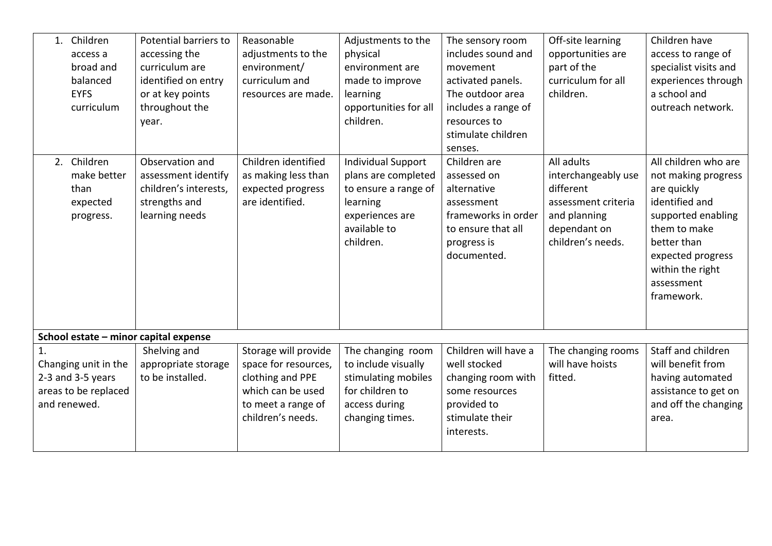| 1. Children<br>access a<br>broad and<br>balanced<br><b>EYFS</b><br>curriculum     | Potential barriers to<br>accessing the<br>curriculum are<br>identified on entry<br>or at key points<br>throughout the<br>year. | Reasonable<br>adjustments to the<br>environment/<br>curriculum and<br>resources are made.                                        | Adjustments to the<br>physical<br>environment are<br>made to improve<br>learning<br>opportunities for all<br>children.               | The sensory room<br>includes sound and<br>movement<br>activated panels.<br>The outdoor area<br>includes a range of<br>resources to<br>stimulate children<br>senses. | Off-site learning<br>opportunities are<br>part of the<br>curriculum for all<br>children.                                   | Children have<br>access to range of<br>specialist visits and<br>experiences through<br>a school and<br>outreach network.                                                                               |
|-----------------------------------------------------------------------------------|--------------------------------------------------------------------------------------------------------------------------------|----------------------------------------------------------------------------------------------------------------------------------|--------------------------------------------------------------------------------------------------------------------------------------|---------------------------------------------------------------------------------------------------------------------------------------------------------------------|----------------------------------------------------------------------------------------------------------------------------|--------------------------------------------------------------------------------------------------------------------------------------------------------------------------------------------------------|
| 2. Children<br>make better<br>than<br>expected<br>progress.                       | Observation and<br>assessment identify<br>children's interests,<br>strengths and<br>learning needs                             | Children identified<br>as making less than<br>expected progress<br>are identified.                                               | <b>Individual Support</b><br>plans are completed<br>to ensure a range of<br>learning<br>experiences are<br>available to<br>children. | Children are<br>assessed on<br>alternative<br>assessment<br>frameworks in order<br>to ensure that all<br>progress is<br>documented.                                 | All adults<br>interchangeably use<br>different<br>assessment criteria<br>and planning<br>dependant on<br>children's needs. | All children who are<br>not making progress<br>are quickly<br>identified and<br>supported enabling<br>them to make<br>better than<br>expected progress<br>within the right<br>assessment<br>framework. |
| School estate - minor capital expense                                             |                                                                                                                                |                                                                                                                                  |                                                                                                                                      |                                                                                                                                                                     |                                                                                                                            |                                                                                                                                                                                                        |
| Changing unit in the<br>2-3 and 3-5 years<br>areas to be replaced<br>and renewed. | Shelving and<br>appropriate storage<br>to be installed.                                                                        | Storage will provide<br>space for resources,<br>clothing and PPE<br>which can be used<br>to meet a range of<br>children's needs. | The changing room<br>to include visually<br>stimulating mobiles<br>for children to<br>access during<br>changing times.               | Children will have a<br>well stocked<br>changing room with<br>some resources<br>provided to<br>stimulate their<br>interests.                                        | The changing rooms<br>will have hoists<br>fitted.                                                                          | Staff and children<br>will benefit from<br>having automated<br>assistance to get on<br>and off the changing<br>area.                                                                                   |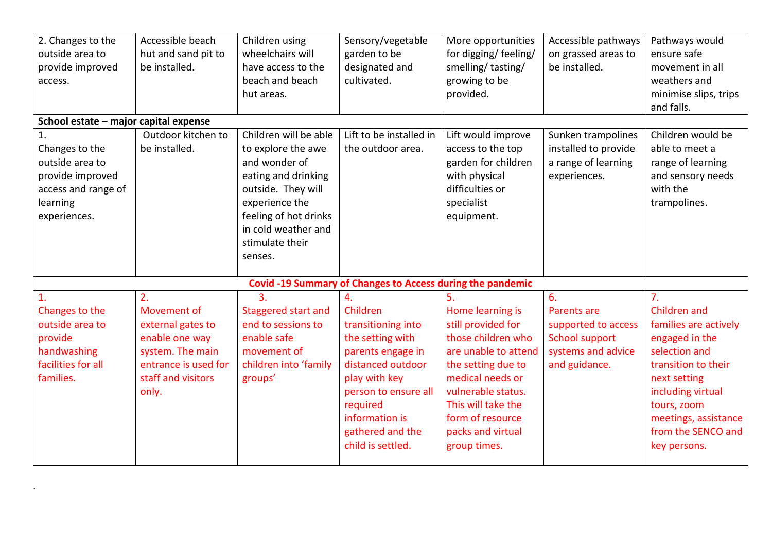| 2. Changes to the<br>outside area to<br>provide improved<br>access.                                            | Accessible beach<br>hut and sand pit to<br>be installed.                                                                            | Children using<br>wheelchairs will<br>have access to the<br>beach and beach<br>hut areas.                                                                                                                 | Sensory/vegetable<br>garden to be<br>designated and<br>cultivated.                                                                                                                                                 | More opportunities<br>for digging/ feeling/<br>smelling/tasting/<br>growing to be<br>provided.                                                                                                                                            | Accessible pathways<br>on grassed areas to<br>be installed.                                                     | Pathways would<br>ensure safe<br>movement in all<br>weathers and<br>minimise slips, trips<br>and falls.                                                                                                                             |
|----------------------------------------------------------------------------------------------------------------|-------------------------------------------------------------------------------------------------------------------------------------|-----------------------------------------------------------------------------------------------------------------------------------------------------------------------------------------------------------|--------------------------------------------------------------------------------------------------------------------------------------------------------------------------------------------------------------------|-------------------------------------------------------------------------------------------------------------------------------------------------------------------------------------------------------------------------------------------|-----------------------------------------------------------------------------------------------------------------|-------------------------------------------------------------------------------------------------------------------------------------------------------------------------------------------------------------------------------------|
| School estate - major capital expense                                                                          |                                                                                                                                     |                                                                                                                                                                                                           |                                                                                                                                                                                                                    |                                                                                                                                                                                                                                           |                                                                                                                 |                                                                                                                                                                                                                                     |
| 1.<br>Changes to the<br>outside area to<br>provide improved<br>access and range of<br>learning<br>experiences. | Outdoor kitchen to<br>be installed.                                                                                                 | Children will be able<br>to explore the awe<br>and wonder of<br>eating and drinking<br>outside. They will<br>experience the<br>feeling of hot drinks<br>in cold weather and<br>stimulate their<br>senses. | Lift to be installed in<br>the outdoor area.                                                                                                                                                                       | Lift would improve<br>access to the top<br>garden for children<br>with physical<br>difficulties or<br>specialist<br>equipment.                                                                                                            | Sunken trampolines<br>installed to provide<br>a range of learning<br>experiences.                               | Children would be<br>able to meet a<br>range of learning<br>and sensory needs<br>with the<br>trampolines.                                                                                                                           |
|                                                                                                                |                                                                                                                                     |                                                                                                                                                                                                           | Covid -19 Summary of Changes to Access during the pandemic                                                                                                                                                         |                                                                                                                                                                                                                                           |                                                                                                                 |                                                                                                                                                                                                                                     |
| 1.<br>Changes to the<br>outside area to<br>provide<br>handwashing<br>facilities for all<br>families.           | 2.<br>Movement of<br>external gates to<br>enable one way<br>system. The main<br>entrance is used for<br>staff and visitors<br>only. | 3.<br>Staggered start and<br>end to sessions to<br>enable safe<br>movement of<br>children into 'family<br>groups'                                                                                         | 4.<br>Children<br>transitioning into<br>the setting with<br>parents engage in<br>distanced outdoor<br>play with key<br>person to ensure all<br>required<br>information is<br>gathered and the<br>child is settled. | 5.<br>Home learning is<br>still provided for<br>those children who<br>are unable to attend<br>the setting due to<br>medical needs or<br>vulnerable status.<br>This will take the<br>form of resource<br>packs and virtual<br>group times. | 6.<br><b>Parents are</b><br>supported to access<br><b>School support</b><br>systems and advice<br>and guidance. | 7 <sub>1</sub><br>Children and<br>families are actively<br>engaged in the<br>selection and<br>transition to their<br>next setting<br>including virtual<br>tours, zoom<br>meetings, assistance<br>from the SENCO and<br>key persons. |

.